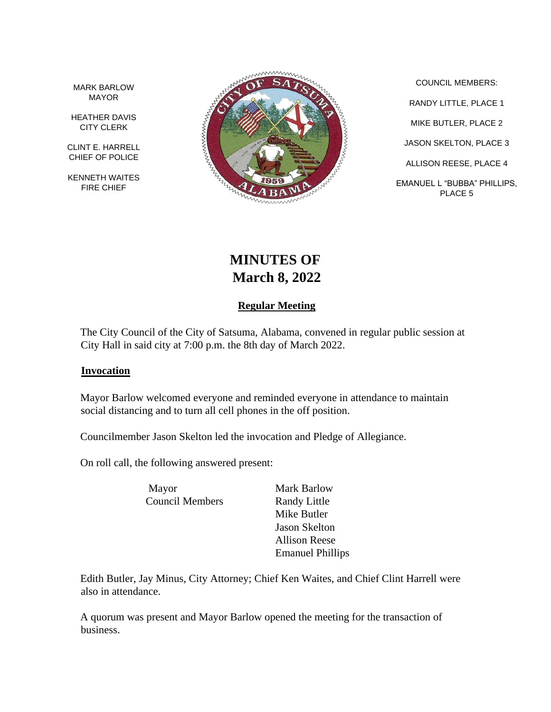MARK BARLOW MAYOR

HEATHER DAVIS CITY CLERK

CLINT E. HARRELL CHIEF OF POLICE

KENNETH WAITES FIRE CHIEF



COUNCIL MEMBERS: RANDY LITTLE, PLACE 1 MIKE BUTLER, PLACE 2 JASON SKELTON, PLACE 3 ALLISON REESE, PLACE 4 EMANUEL L "BUBBA" PHILLIPS, PLACE 5

# **MINUTES OF March 8, 2022**

# **Regular Meeting**

The City Council of the City of Satsuma, Alabama, convened in regular public session at City Hall in said city at 7:00 p.m. the 8th day of March 2022.

#### **Invocation**

Mayor Barlow welcomed everyone and reminded everyone in attendance to maintain social distancing and to turn all cell phones in the off position.

Councilmember Jason Skelton led the invocation and Pledge of Allegiance.

On roll call, the following answered present:

Mayor Mark Barlow Council Members Randy Little

Mike Butler Jason Skelton Allison Reese Emanuel Phillips

Edith Butler, Jay Minus, City Attorney; Chief Ken Waites, and Chief Clint Harrell were also in attendance.

A quorum was present and Mayor Barlow opened the meeting for the transaction of business.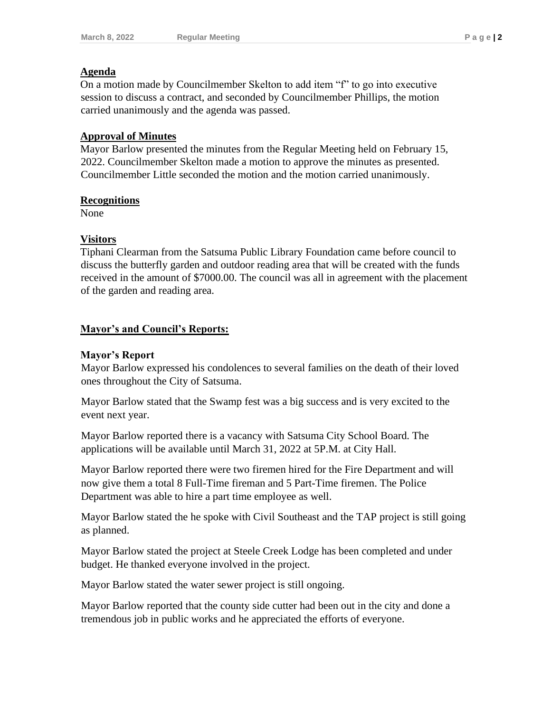#### **Agenda**

On a motion made by Councilmember Skelton to add item "f" to go into executive session to discuss a contract, and seconded by Councilmember Phillips, the motion carried unanimously and the agenda was passed.

#### **Approval of Minutes**

Mayor Barlow presented the minutes from the Regular Meeting held on February 15, 2022. Councilmember Skelton made a motion to approve the minutes as presented. Councilmember Little seconded the motion and the motion carried unanimously.

#### **Recognitions**

None

## **Visitors**

Tiphani Clearman from the Satsuma Public Library Foundation came before council to discuss the butterfly garden and outdoor reading area that will be created with the funds received in the amount of \$7000.00. The council was all in agreement with the placement of the garden and reading area.

## **Mayor's and Council's Reports:**

## **Mayor's Report**

Mayor Barlow expressed his condolences to several families on the death of their loved ones throughout the City of Satsuma.

Mayor Barlow stated that the Swamp fest was a big success and is very excited to the event next year.

Mayor Barlow reported there is a vacancy with Satsuma City School Board. The applications will be available until March 31, 2022 at 5P.M. at City Hall.

Mayor Barlow reported there were two firemen hired for the Fire Department and will now give them a total 8 Full-Time fireman and 5 Part-Time firemen. The Police Department was able to hire a part time employee as well.

Mayor Barlow stated the he spoke with Civil Southeast and the TAP project is still going as planned.

Mayor Barlow stated the project at Steele Creek Lodge has been completed and under budget. He thanked everyone involved in the project.

Mayor Barlow stated the water sewer project is still ongoing.

Mayor Barlow reported that the county side cutter had been out in the city and done a tremendous job in public works and he appreciated the efforts of everyone.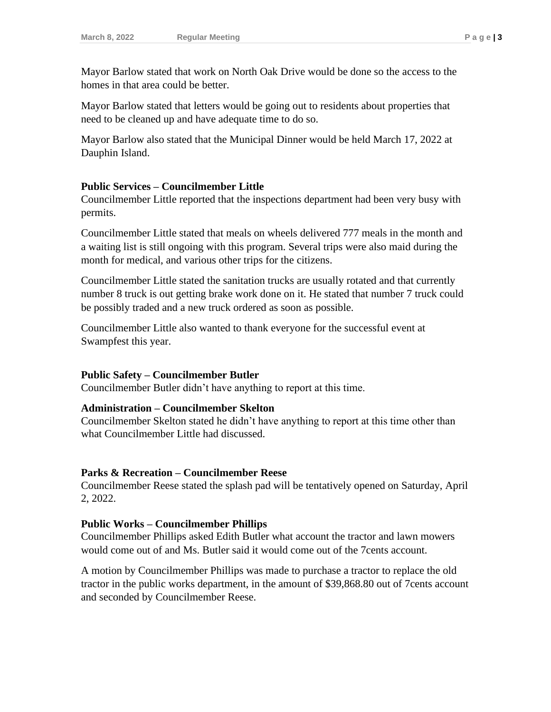Mayor Barlow stated that work on North Oak Drive would be done so the access to the homes in that area could be better.

Mayor Barlow stated that letters would be going out to residents about properties that need to be cleaned up and have adequate time to do so.

Mayor Barlow also stated that the Municipal Dinner would be held March 17, 2022 at Dauphin Island.

#### **Public Services – Councilmember Little**

Councilmember Little reported that the inspections department had been very busy with permits.

Councilmember Little stated that meals on wheels delivered 777 meals in the month and a waiting list is still ongoing with this program. Several trips were also maid during the month for medical, and various other trips for the citizens.

Councilmember Little stated the sanitation trucks are usually rotated and that currently number 8 truck is out getting brake work done on it. He stated that number 7 truck could be possibly traded and a new truck ordered as soon as possible.

Councilmember Little also wanted to thank everyone for the successful event at Swampfest this year.

#### **Public Safety – Councilmember Butler**

Councilmember Butler didn't have anything to report at this time.

#### **Administration – Councilmember Skelton**

Councilmember Skelton stated he didn't have anything to report at this time other than what Councilmember Little had discussed.

#### **Parks & Recreation – Councilmember Reese**

Councilmember Reese stated the splash pad will be tentatively opened on Saturday, April 2, 2022.

#### **Public Works – Councilmember Phillips**

Councilmember Phillips asked Edith Butler what account the tractor and lawn mowers would come out of and Ms. Butler said it would come out of the 7cents account.

A motion by Councilmember Phillips was made to purchase a tractor to replace the old tractor in the public works department, in the amount of \$39,868.80 out of 7cents account and seconded by Councilmember Reese.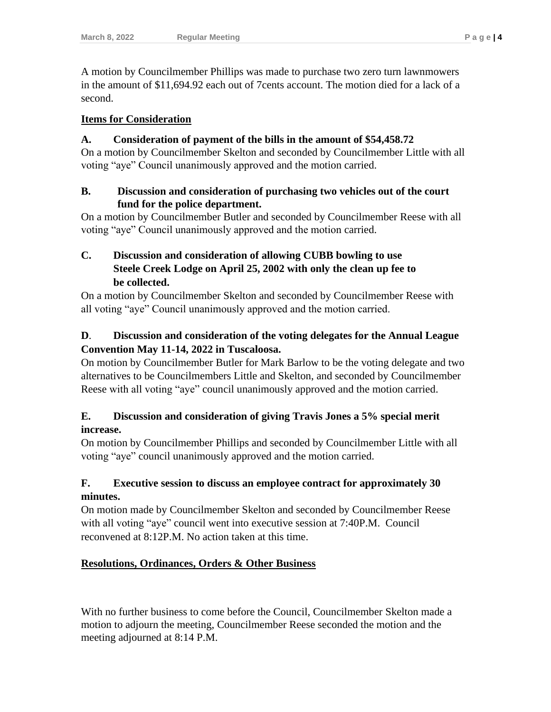A motion by Councilmember Phillips was made to purchase two zero turn lawnmowers in the amount of \$11,694.92 each out of 7cents account. The motion died for a lack of a second.

## **Items for Consideration**

## **A. Consideration of payment of the bills in the amount of \$54,458.72**

On a motion by Councilmember Skelton and seconded by Councilmember Little with all voting "aye" Council unanimously approved and the motion carried.

## **B. Discussion and consideration of purchasing two vehicles out of the court fund for the police department.**

On a motion by Councilmember Butler and seconded by Councilmember Reese with all voting "aye" Council unanimously approved and the motion carried.

# **C. Discussion and consideration of allowing CUBB bowling to use Steele Creek Lodge on April 25, 2002 with only the clean up fee to be collected.**

On a motion by Councilmember Skelton and seconded by Councilmember Reese with all voting "aye" Council unanimously approved and the motion carried.

# **D**. **Discussion and consideration of the voting delegates for the Annual League Convention May 11-14, 2022 in Tuscaloosa.**

On motion by Councilmember Butler for Mark Barlow to be the voting delegate and two alternatives to be Councilmembers Little and Skelton, and seconded by Councilmember Reese with all voting "aye" council unanimously approved and the motion carried.

# **E. Discussion and consideration of giving Travis Jones a 5% special merit increase.**

On motion by Councilmember Phillips and seconded by Councilmember Little with all voting "aye" council unanimously approved and the motion carried.

# **F. Executive session to discuss an employee contract for approximately 30 minutes.**

On motion made by Councilmember Skelton and seconded by Councilmember Reese with all voting "aye" council went into executive session at 7:40P.M. Council reconvened at 8:12P.M. No action taken at this time.

# **Resolutions, Ordinances, Orders & Other Business**

With no further business to come before the Council, Councilmember Skelton made a motion to adjourn the meeting, Councilmember Reese seconded the motion and the meeting adjourned at 8:14 P.M.